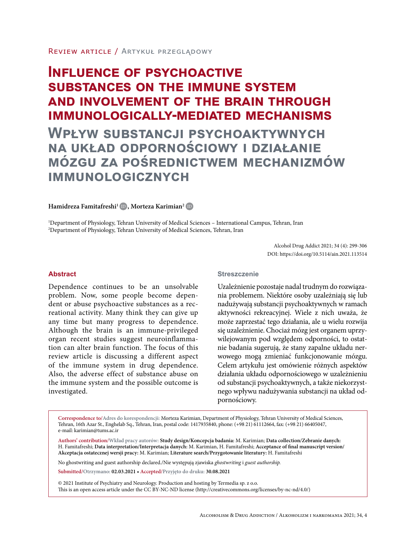# **Influence of psychoactive substances on the immune system and involvement of the brain through immunologically-mediated mechanisms**

**Wpływ substancji psychoaktywnych na układ odpornościowy i działanie mózgu za pośrednictwem mechanizmów immunologicznych**

### $\operatorname{Hamidreza}$  Famitafreshi<sup>1</sup> (D), Morteza Karimian<sup>2</sup> (D

1 Department of Physiology, Tehran University of Medical Sciences – International Campus, Tehran, Iran 2 Department of Physiology, Tehran University of Medical Sciences, Tehran, Iran

> Alcohol Drug Addict 2021; 34 (4): 299-306 DOI: https://doi.org/10.5114/ain.2021.113514

### **Abstract**

Dependence continues to be an unsolvable problem. Now, some people become dependent or abuse psychoactive substances as a recreational activity. Many think they can give up any time but many progress to dependence. Although the brain is an immune-privileged organ recent studies suggest neuroinflammation can alter brain function. The focus of this review article is discussing a different aspect of the immune system in drug dependence. Also, the adverse effect of substance abuse on the immune system and the possible outcome is investigated.

### **Streszczenie**

Uzależnienie pozostaje nadal trudnym do rozwiązania problemem. Niektóre osoby uzależniają się lub nadużywają substancji psychoaktywnych w ramach aktywności rekreacyjnej. Wiele z nich uważa, że może zaprzestać tego działania, ale u wielu rozwija się uzależnienie. Chociaż mózg jest organem uprzywilejowanym pod względem odporności, to ostatnie badania sugerują, że stany zapalne układu nerwowego mogą zmieniać funkcjonowanie mózgu. Celem artykułu jest omówienie różnych aspektów działania układu odpornościowego w uzależnieniu od substancji psychoaktywnych, a także niekorzystnego wpływu nadużywania substancji na układ odpornościowy.

**Correspondence to/Adres do korespondencji:** Morteza Karimian, Department of Physiology, Tehran University of Medical Sciences, Tehran, 16th Azar St., Enghelab Sq., Tehran, Iran, postal code: 1417935840, phone: (+98 21) 61112664, fax: (+98 21) 66405047, e-mail: karimian@tums.ac.ir

**Authors' contribution/Wkład pracy autorów: Study design/Koncepcja badania:** M. Karimian; **Data collection/Zebranie danych:**  H. Famitafreshi; **Data interpretation/Interpretacja danych:** M. Karimian, H. Famitafreshi; **Acceptance of final manuscript version/ Akceptacja ostatecznej wersji pracy:** M. Karimian; **Literature search/Przygotowanie literatury:** H. Famitafreshi

No ghostwriting and guest authorship declared./Nie występują zjawiska *ghostwriting* i *guest authorship.*

**Submitted/Otrzymano: 02.03.2021** *•* **Accepted/Przyjęto do druku: 30.08.2021**

© 2021 Institute of Psychiatry and Neurology. Production and hosting by Termedia sp. z o.o. This is an open access article under the CC BY-NC-ND license (http://creativecommons.org/licenses/by-nc-nd/4.0/)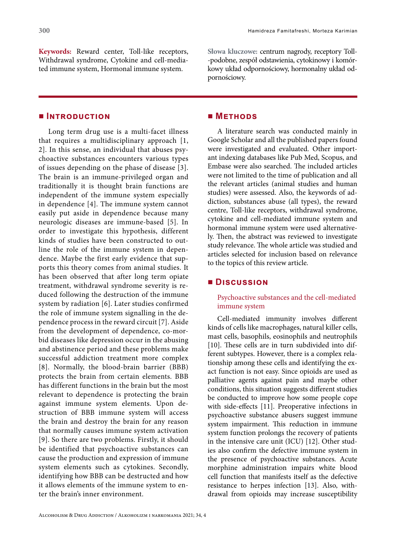**Keywords:** Reward center, Toll-like receptors, Withdrawal syndrome, Cytokine and cell-mediated immune system, Hormonal immune system.

### **■ Introduction**

Long term drug use is a multi-facet illness that requires a multidisciplinary approach [1, 2]. In this sense, an individual that abuses psychoactive substances encounters various types of issues depending on the phase of disease [3]. The brain is an immune-privileged organ and traditionally it is thought brain functions are independent of the immune system especially in dependence [4]. The immune system cannot easily put aside in dependence because many neurologic diseases are immune-based [5]. In order to investigate this hypothesis, different kinds of studies have been constructed to outline the role of the immune system in dependence. Maybe the first early evidence that supports this theory comes from animal studies. It has been observed that after long term opiate treatment, withdrawal syndrome severity is reduced following the destruction of the immune system by radiation [6]. Later studies confirmed the role of immune system signalling in the dependence process in the reward circuit [7]. Aside from the development of dependence, co-morbid diseases like depression occur in the abusing and abstinence period and these problems make successful addiction treatment more complex [8]. Normally, the blood-brain barrier (BBB) protects the brain from certain elements. BBB has different functions in the brain but the most relevant to dependence is protecting the brain against immune system elements. Upon destruction of BBB immune system will access the brain and destroy the brain for any reason that normally causes immune system activation [9]. So there are two problems. Firstly, it should be identified that psychoactive substances can cause the production and expression of immune system elements such as cytokines. Secondly, identifying how BBB can be destructed and how it allows elements of the immune system to enter the brain's inner environment.

**Słowa kluczowe:** centrum nagrody, receptory Toll- -podobne, zespół odstawienia, cytokinowy i komórkowy układ odpornościowy, hormonalny układ odpornościowy.

### **■ Methods**

A literature search was conducted mainly in Google Scholar and all the published papers found were investigated and evaluated. Other important indexing databases like Pub Med, Scopus, and Embase were also searched. The included articles were not limited to the time of publication and all the relevant articles (animal studies and human studies) were assessed. Also, the keywords of addiction, substances abuse (all types), the reward centre, Toll-like receptors, withdrawal syndrome, cytokine and cell-mediated immune system and hormonal immune system were used alternatively. Then, the abstract was reviewed to investigate study relevance. The whole article was studied and articles selected for inclusion based on relevance to the topics of this review article.

### **■ Discussion**

Psychoactive substances and the cell-mediated immune system

Cell-mediated immunity involves different kinds of cells like macrophages, natural killer cells, mast cells, basophils, eosinophils and neutrophils [10]. These cells are in turn subdivided into different subtypes. However, there is a complex relationship among these cells and identifying the exact function is not easy. Since opioids are used as palliative agents against pain and maybe other conditions, this situation suggests different studies be conducted to improve how some people cope with side-effects [11]. Preoperative infections in psychoactive substance abusers suggest immune system impairment. This reduction in immune system function prolongs the recovery of patients in the intensive care unit (ICU) [12]. Other studies also confirm the defective immune system in the presence of psychoactive substances. Acute morphine administration impairs white blood cell function that manifests itself as the defective resistance to herpes infection [13]. Also, withdrawal from opioids may increase susceptibility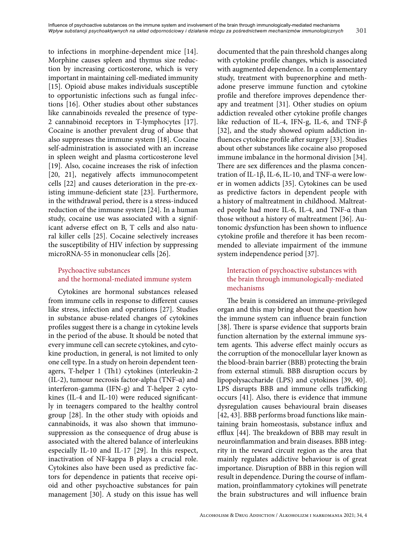to infections in morphine-dependent mice [14]. Morphine causes spleen and thymus size reduction by increasing corticosterone, which is very important in maintaining cell-mediated immunity [15]. Opioid abuse makes individuals susceptible to opportunistic infections such as fungal infections [16]. Other studies about other substances like cannabinoids revealed the presence of type-2 cannabinoid receptors in T-lymphocytes [17]. Cocaine is another prevalent drug of abuse that also suppresses the immune system [18]. Cocaine self-administration is associated with an increase in spleen weight and plasma corticosterone level [19]. Also, cocaine increases the risk of infection [20, 21], negatively affects immunocompetent cells [22] and causes deterioration in the pre-existing immune-deficient state [23]. Furthermore, in the withdrawal period, there is a stress-induced reduction of the immune system [24]. In a human study, cocaine use was associated with a significant adverse effect on B, T cells and also natural killer cells [25]. Cocaine selectively increases the susceptibility of HIV infection by suppressing microRNA-55 in mononuclear cells [26].

# Psychoactive substances and the hormonal-mediated immune system

Cytokines are hormonal substances released from immune cells in response to different causes like stress, infection and operations [27]. Studies in substance abuse-related changes of cytokines profiles suggest there is a change in cytokine levels in the period of the abuse. It should be noted that every immune cell can secrete cytokines, and cytokine production, in general, is not limited to only one cell type. In a study on heroin dependent teenagers, T-helper 1 (Th1) cytokines (interleukin-2 (IL-2), tumour necrosis factor-alpha (TNF-α) and interferon-gamma (IFN-g) and T-helper 2 cytokines (IL-4 and IL-10) were reduced significantly in teenagers compared to the healthy control group [28]. In the other study with opioids and cannabinoids, it was also shown that immunosuppression as the consequence of drug abuse is associated with the altered balance of interleukins especially IL-10 and IL-17 [29]. In this respect, inactivation of NF-kappa B plays a crucial role. Cytokines also have been used as predictive factors for dependence in patients that receive opioid and other psychoactive substances for pain management [30]. A study on this issue has well

documented that the pain threshold changes along with cytokine profile changes, which is associated with augmented dependence. In a complementary study, treatment with buprenorphine and methadone preserve immune function and cytokine profile and therefore improves dependence therapy and treatment [31]. Other studies on opium addiction revealed other cytokine profile changes like reduction of IL-4, IFN-g, IL-6, and TNF-β [32], and the study showed opium addiction influences cytokine profile after surgery [33]. Studies about other substances like cocaine also proposed immune imbalance in the hormonal division [34]. There are sex differences and the plasma concentration of IL-1β, IL-6, IL-10, and TNF-α were lower in women addicts [35]. Cytokines can be used as predictive factors in dependent people with a history of maltreatment in childhood. Maltreated people had more IL-6, IL-4, and TNF-α than those without a history of maltreatment [36]. Autonomic dysfunction has been shown to influence cytokine profile and therefore it has been recommended to alleviate impairment of the immune system independence period [37].

# Interaction of psychoactive substances with the brain through immunologically-mediated mechanisms

The brain is considered an immune-privileged organ and this may bring about the question how the immune system can influence brain function [38]. There is sparse evidence that supports brain function alternation by the external immune system agents. This adverse effect mainly occurs as the corruption of the monocellular layer known as the blood-brain barrier (BBB) protecting the brain from external stimuli. BBB disruption occurs by lipopolysaccharide (LPS) and cytokines [39, 40]. LPS disrupts BBB and immune cells trafficking occurs [41]. Also, there is evidence that immune dysregulation causes behavioural brain diseases [42, 43]. BBB performs broad functions like maintaining brain homeostasis, substance influx and efflux [44]. The breakdown of BBB may result in neuroinflammation and brain diseases. BBB integrity in the reward circuit region as the area that mainly regulates addictive behaviour is of great importance. Disruption of BBB in this region will result in dependence. During the course of inflammation, proinflammatory cytokines will penetrate the brain substructures and will influence brain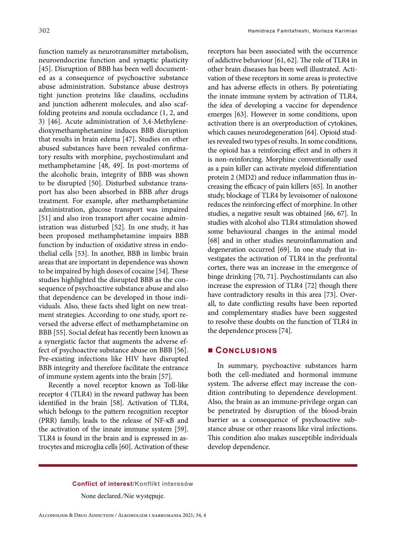function namely as neurotransmitter metabolism, neuroendocrine function and synaptic plasticity [45]. Disruption of BBB has been well documented as a consequence of psychoactive substance abuse administration. Substance abuse destroys tight junction proteins like claudins, occludins and junction adherent molecules, and also scaffolding proteins and zonula occludance (1, 2, and 3) [46]. Acute administration of 3,4-Methylenedioxymethamphetamine induces BBB disruption that results in brain edema [47]. Studies on other abused substances have been revealed confirmatory results with morphine, psychostimulant and methamphetamine [48, 49]. In post-mortems of the alcoholic brain, integrity of BBB was shown to be disrupted [50]. Disturbed substance transport has also been absorbed in BBB after drugs treatment. For example, after methamphetamine administration, glucose transport was impaired [51] and also iron transport after cocaine administration was disturbed [52]. In one study, it has been proposed methamphetamine impairs BBB function by induction of oxidative stress in endothelial cells [53]. In another, BBB in limbic brain areas that are important in dependence was shown to be impaired by high doses of cocaine [54]. These studies highlighted the disrupted BBB as the consequence of psychoactive substance abuse and also that dependence can be developed in those individuals. Also, these facts shed light on new treatment strategies. According to one study, sport reversed the adverse effect of methamphetamine on BBB [55]. Social defeat has recently been known as a synergistic factor that augments the adverse effect of psychoactive substance abuse on BBB [56]. Pre-existing infections like HIV have disrupted BBB integrity and therefore facilitate the entrance of immune system agents into the brain [57].

Recently a novel receptor known as Toll-like receptor 4 (TLR4) in the reward pathway has been identified in the brain [58]. Activation of TLR4, which belongs to the pattern recognition receptor (PRR) family, leads to the release of NF-κB and the activation of the innate immune system [59]. TLR4 is found in the brain and is expressed in astrocytes and microglia cells [60]. Activation of these

receptors has been associated with the occurrence of addictive behaviour [61, 62]. The role of TLR4 in other brain diseases has been well illustrated. Activation of these receptors in some areas is protective and has adverse effects in others. By potentiating the innate immune system by activation of TLR4, the idea of developing a vaccine for dependence emerges [63]. However in some conditions, upon activation there is an overproduction of cytokines, which causes neurodegeneration [64]. Opioid studies revealed two types of results. In some conditions, the opioid has a reinforcing effect and in others it is non-reinforcing. Morphine conventionally used as a pain killer can activate myeloid differentiation protein 2 (MD2) and reduce inflammation thus increasing the efficacy of pain killers [65]. In another study, blockage of TLR4 by levoisomer of naloxone reduces the reinforcing effect of morphine. In other studies, a negative result was obtained [66, 67]. In studies with alcohol also TLR4 stimulation showed some behavioural changes in the animal model [68] and in other studies neuroinflammation and degeneration occurred [69]. In one study that investigates the activation of TLR4 in the prefrontal cortex, there was an increase in the emergence of binge drinking [70, 71]. Psychostimulants can also increase the expression of TLR4 [72] though there have contradictory results in this area [73]. Overall, to date conflicting results have been reported and complementary studies have been suggested to resolve these doubts on the function of TLR4 in the dependence process [74].

### **■ Conclusions**

In summary, psychoactive substances harm both the cell-mediated and hormonal immune system. The adverse effect may increase the condition contributing to dependence development. Also, the brain as an immune-privilege organ can be penetrated by disruption of the blood-brain barrier as a consequence of psychoactive substance abuse or other reasons like viral infections. This condition also makes susceptible individuals develop dependence.

### **Conflict of interest/Konflikt interesów**

None declared./Nie występuje.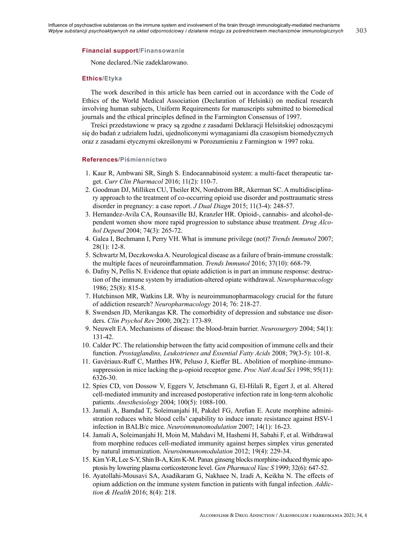**303**

None declared./Nie zadeklarowano.

#### **Ethics/Etyka**

The work described in this article has been carried out in accordance with the Code of Ethics of the World Medical Association (Declaration of Helsinki) on medical research involving human subjects, Uniform Requirements for manuscripts submitted to biomedical journals and the ethical principles defined in the Farmington Consensus of 1997.

Treści przedstawione w pracy są zgodne z zasadami Deklaracji Helsińskiej odnoszącymi się do badań z udziałem ludzi, ujednoliconymi wymaganiami dla czasopism biomedycznych oraz z zasadami etycznymi określonymi w Porozumieniu z Farmington w 1997 roku.

#### **References/Piśmiennictwo**

- 1. Kaur R, Ambwani SR, Singh S. Endocannabinoid system: a multi-facet therapeutic target. *Curr Clin Pharmacol* 2016; 11(2): 110-7.
- 2. Goodman DJ, Milliken CU, Theiler RN, Nordstrom BR, Akerman SC. A multidisciplinary approach to the treatment of co-occurring opioid use disorder and posttraumatic stress disorder in pregnancy: a case report. *J Dual Diagn* 2015; 11(3-4): 248-57.
- 3. Hernandez-Avila CA, Rounsaville BJ, Kranzler HR. Opioid-, cannabis- and alcohol-dependent women show more rapid progression to substance abuse treatment. *Drug Alcohol Depend* 2004; 74(3): 265-72.
- 4. Galea I, Bechmann I, Perry VH. What is immune privilege (not)? *Trends Immunol* 2007; 28(1): 12-8.
- 5. Schwartz M, Deczkowska A. Neurological disease as a failure of brain-immune crosstalk: the multiple faces of neuroinflammation. *Trends Immunol* 2016; 37(10): 668-79.
- 6. Dafny N, Pellis N. Evidence that opiate addiction is in part an immune response: destruction of the immune system by irradiation-altered opiate withdrawal. *Neuropharmacology* 1986; 25(8): 815-8.
- 7. Hutchinson MR, Watkins LR. Why is neuroimmunopharmacology crucial for the future of addiction research? *Neuropharmacology* 2014; 76: 218-27.
- 8. Swendsen JD, Merikangas KR. The comorbidity of depression and substance use disorders. *Clin Psychol Rev* 2000; 20(2): 173-89.
- 9. Neuwelt EA. Mechanisms of disease: the blood-brain barrier. *Neurosurgery* 2004; 54(1): 131-42.
- 10. Calder PC. The relationship between the fatty acid composition of immune cells and their function. *Prostaglandins, Leukotrienes and Essential Fatty Acids* 2008; 79(3-5): 101-8.
- 11. Gavériaux-Ruff C, Matthes HW, Peluso J, Kieffer BL. Abolition of morphine-immunosuppression in mice lacking the μ-opioid receptor gene. *Proc Natl Acad Sci* 1998; 95(11): 6326-30.
- 12. Spies CD, von Dossow V, Eggers V, Jetschmann G, El-Hilali R, Egert J, et al. Altered cell-mediated immunity and increased postoperative infection rate in long-term alcoholic patients. *Anesthesiology* 2004; 100(5): 1088-100.
- 13. Jamali A, Bamdad T, Soleimanjahi H, Pakdel FG, Arefian E. Acute morphine administration reduces white blood cells' capability to induce innate resistance against HSV-1 infection in BALB/c mice. *Neuroimmunomodulation* 2007; 14(1): 16-23.
- 14. Jamali A, Soleimanjahi H, Moin M, Mahdavi M, Hashemi H, Sabahi F, et al. Withdrawal from morphine reduces cell-mediated immunity against herpes simplex virus generated by natural immunization. *Neuroimmunomodulation* 2012; 19(4): 229-34.
- 15. Kim Y-R, Lee S-Y, Shin B-A, Kim K-M. Panax ginseng blocks morphine-induced thymic apoptosis by lowering plasma corticosterone level. *Gen Pharmacol Vasc S* 1999; 32(6): 647-52.
- 16. Ayatollahi-Mousavi SA, Asadikaram G, Nakhaee N, Izadi A, Keikha N. The effects of opium addiction on the immune system function in patients with fungal infection. *Addiction & Health* 2016; 8(4): 218.

Alcoholism & Drug Addiction / Alkoholizm i narkomania 2021; 34, 4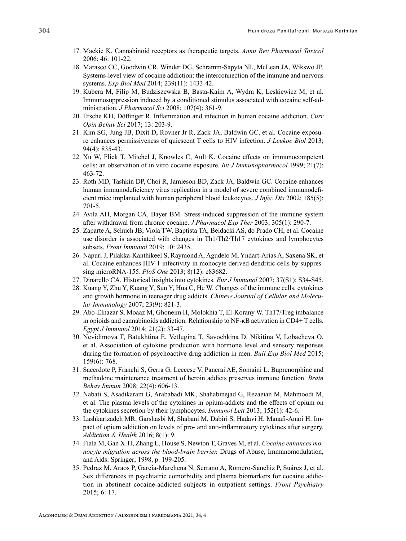- 17. Mackie K. Cannabinoid receptors as therapeutic targets. *Annu Rev Pharmacol Toxicol* 2006; 46: 101-22.
- 18. Marasco CC, Goodwin CR, Winder DG, Schramm-Sapyta NL, McLean JA, Wikswo JP. Systems-level view of cocaine addiction: the interconnection of the immune and nervous systems. *Exp Biol Med* 2014; 239(11): 1433-42.
- 19. Kubera M, Filip M, Budziszewska B, Basta-Kaim A, Wydra K, Leskiewicz M, et al. Immunosuppression induced by a conditioned stimulus associated with cocaine self-administration. *J Pharmacol Sci* 2008; 107(4): 361-9.
- 20. Ersche KD, Döffinger R. Inflammation and infection in human cocaine addiction. *Curr Opin Behav Sci* 2017; 13: 203-9.
- 21. Kim SG, Jung JB, Dixit D, Rovner Jr R, Zack JA, Baldwin GC, et al. Cocaine exposure enhances permissiveness of quiescent T cells to HIV infection. *J Leukoc Biol* 2013; 94(4): 835-43.
- 22. Xu W, Flick T, Mitchel J, Knowles C, Ault K. Cocaine effects on immunocompetent cells: an observation of in vitro cocaine exposure. *Int J Immunopharmacol* 1999; 21(7): 463-72.
- 23. Roth MD, Tashkin DP, Choi R, Jamieson BD, Zack JA, Baldwin GC. Cocaine enhances human immunodeficiency virus replication in a model of severe combined immunodeficient mice implanted with human peripheral blood leukocytes. *J Infec Dis* 2002; 185(5): 701-5.
- 24. Avila AH, Morgan CA, Bayer BM. Stress-induced suppression of the immune system after withdrawal from chronic cocaine. *J Pharmacol Exp Ther* 2003; 305(1): 290-7.
- 25. Zaparte A, Schuch JB, Viola TW, Baptista TA, Beidacki AS, do Prado CH, et al. Cocaine use disorder is associated with changes in Th1/Th2/Th17 cytokines and lymphocytes subsets. *Front Immunol* 2019; 10: 2435.
- 26. Napuri J, Pilakka-Kanthikeel S, Raymond A, Agudelo M, Yndart-Arias A, Saxena SK, et al. Cocaine enhances HIV-1 infectivity in monocyte derived dendritic cells by suppressing microRNA-155. *PloS One* 2013; 8(12): e83682.
- 27. Dinarello CA. Historical insights into cytokines. *Eur J Immunol* 2007; 37(S1): S34-S45.
- 28. Kuang Y, Zhu Y, Kuang Y, Sun Y, Hua C, He W. Changes of the immune cells, cytokines and growth hormone in teenager drug addicts. *Chinese Journal of Cellular and Molecular Immunology* 2007; 23(9): 821-3.
- 29. Abo-Elnazar S, Moaaz M, Ghoneim H, Molokhia T, El-Korany W. Th17/Treg imbalance in opioids and cannabinoids addiction: Relationship to NF-κB activation in CD4+ T cells. *Egypt J Immunol* 2014; 21(2): 33-47.
- 30. Nevidimova T, Batukhtina E, Vetlugina T, Savochkina D, Nikitina V, Lobacheva O, et al. Association of cytokine production with hormone level and sensory responses during the formation of psychoactive drug addiction in men. *Bull Exp Biol Med* 2015; 159(6): 768.
- 31. Sacerdote P, Franchi S, Gerra G, Leccese V, Panerai AE, Somaini L. Buprenorphine and methadone maintenance treatment of heroin addicts preserves immune function. *Brain Behav Immun* 2008; 22(4): 606-13.
- 32. Nabati S, Asadikaram G, Arababadi MK, Shahabinejad G, Rezaeian M, Mahmoodi M, et al. The plasma levels of the cytokines in opium-addicts and the effects of opium on the cytokines secretion by their lymphocytes. *Immunol Lett* 2013; 152(1): 42-6.
- 33. Lashkarizadeh MR, Garshasbi M, Shabani M, Dabiri S, Hadavi H, Manafi-Anari H. Impact of opium addiction on levels of pro- and anti-inflammatory cytokines after surgery. *Addiction & Health* 2016; 8(1): 9.
- 34. Fiala M, Gan X-H, Zhang L, House S, Newton T, Graves M, et al. *Cocaine enhances monocyte migration across the blood-brain barrier.* Drugs of Abuse, Immunomodulation, and Aids: Springer; 1998, p. 199-205.
- 35. Pedraz M, Araos P, García-Marchena N, Serrano A, Romero-Sanchiz P, Suárez J, et al. Sex differences in psychiatric comorbidity and plasma biomarkers for cocaine addiction in abstinent cocaine-addicted subjects in outpatient settings. *Front Psychiatry* 2015; 6: 17.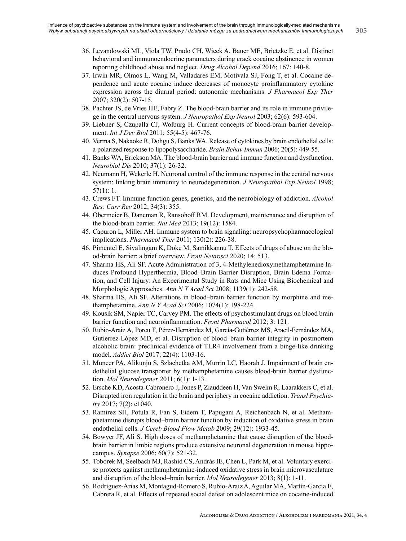- 36. Levandowski ML, Viola TW, Prado CH, Wieck A, Bauer ME, Brietzke E, et al. Distinct behavioral and immunoendocrine parameters during crack cocaine abstinence in women reporting childhood abuse and neglect. *Drug Alcohol Depend* 2016; 167: 140-8.
- 37. Irwin MR, Olmos L, Wang M, Valladares EM, Motivala SJ, Fong T, et al. Cocaine dependence and acute cocaine induce decreases of monocyte proinflammatory cytokine expression across the diurnal period: autonomic mechanisms. *J Pharmacol Exp Ther* 2007; 320(2): 507-15.
- 38. Pachter JS, de Vries HE, Fabry Z. The blood-brain barrier and its role in immune privilege in the central nervous system. *J Neuropathol Exp Neurol* 2003; 62(6): 593-604.
- 39. Liebner S, Czupalla CJ, Wolburg H. Current concepts of blood-brain barrier development. *Int J Dev Biol* 2011; 55(4-5): 467-76.
- 40. Verma S, Nakaoke R, Dohgu S, Banks WA. Release of cytokines by brain endothelial cells: a polarized response to lipopolysaccharide. *Brain Behav Immun* 2006; 20(5): 449-55.
- 41. Banks WA, Erickson MA. The blood-brain barrier and immune function and dysfunction. *Neurobiol Dis* 2010; 37(1): 26-32.
- 42. Neumann H, Wekerle H. Neuronal control of the immune response in the central nervous system: linking brain immunity to neurodegeneration. *J Neuropathol Exp Neurol* 1998; 57(1): 1.
- 43. Crews FT. Immune function genes, genetics, and the neurobiology of addiction. *Alcohol Res: Curr Rev* 2012; 34(3): 355.
- 44. Obermeier B, Daneman R, Ransohoff RM. Development, maintenance and disruption of the blood-brain barrier. *Nat Med* 2013; 19(12): 1584.
- 45. Capuron L, Miller AH. Immune system to brain signaling: neuropsychopharmacological implications. *Pharmacol Ther* 2011; 130(2): 226-38.
- 46. Pimentel E, Sivalingam K, Doke M, Samikkannu T. Effects of drugs of abuse on the blood-brain barrier: a brief overview. *Front Neurosci* 2020; 14: 513.
- 47. Sharma HS, Ali SF. Acute Administration of 3, 4‐Methylenedioxymethamphetamine Induces Profound Hyperthermia, Blood–Brain Barrier Disruption, Brain Edema Formation, and Cell Injury: An Experimental Study in Rats and Mice Using Biochemical and Morphologic Approaches. *Ann N Y Acad Sci* 2008; 1139(1): 242-58.
- 48. Sharma HS, Ali SF. Alterations in blood–brain barrier function by morphine and methamphetamine. *Ann N Y Acad Sci* 2006; 1074(1): 198-224.
- 49. Kousik SM, Napier TC, Carvey PM. The effects of psychostimulant drugs on blood brain barrier function and neuroinflammation. *Front Pharmacol* 2012; 3: 121.
- 50. Rubio‐Araiz A, Porcu F, Pérez‐Hernández M, García‐Gutiérrez MS, Aracil‐Fernández MA, Gutierrez‐López MD, et al. Disruption of blood–brain barrier integrity in postmortem alcoholic brain: preclinical evidence of TLR4 involvement from a binge-like drinking model. *Addict Biol* 2017; 22(4): 1103-16.
- 51. Muneer PA, Alikunju S, Szlachetka AM, Murrin LC, Haorah J. Impairment of brain endothelial glucose transporter by methamphetamine causes blood-brain barrier dysfunction. *Mol Neurodegener* 2011; 6(1): 1-13.
- 52. Ersche KD, Acosta-Cabronero J, Jones P, Ziauddeen H, Van Swelm R, Laarakkers C, et al. Disrupted iron regulation in the brain and periphery in cocaine addiction. *Transl Psychiatry* 2017; 7(2): e1040.
- 53. Ramirez SH, Potula R, Fan S, Eidem T, Papugani A, Reichenbach N, et al. Methamphetamine disrupts blood–brain barrier function by induction of oxidative stress in brain endothelial cells. *J Cereb Blood Flow Metab* 2009; 29(12): 1933-45.
- 54. Bowyer JF, Ali S. High doses of methamphetamine that cause disruption of the blood‐ brain barrier in limbic regions produce extensive neuronal degeneration in mouse hippocampus. *Synapse* 2006; 60(7): 521-32.
- 55. Toborek M, Seelbach MJ, Rashid CS, András IE, Chen L, Park M, et al. Voluntary exercise protects against methamphetamine-induced oxidative stress in brain microvasculature and disruption of the blood–brain barrier. *Mol Neurodegener* 2013; 8(1): 1-11.
- 56. Rodríguez‐Arias M, Montagud‐Romero S, Rubio‐Araiz A, Aguilar MA, Martín‐García E, Cabrera R, et al. Effects of repeated social defeat on adolescent mice on cocaine‐induced